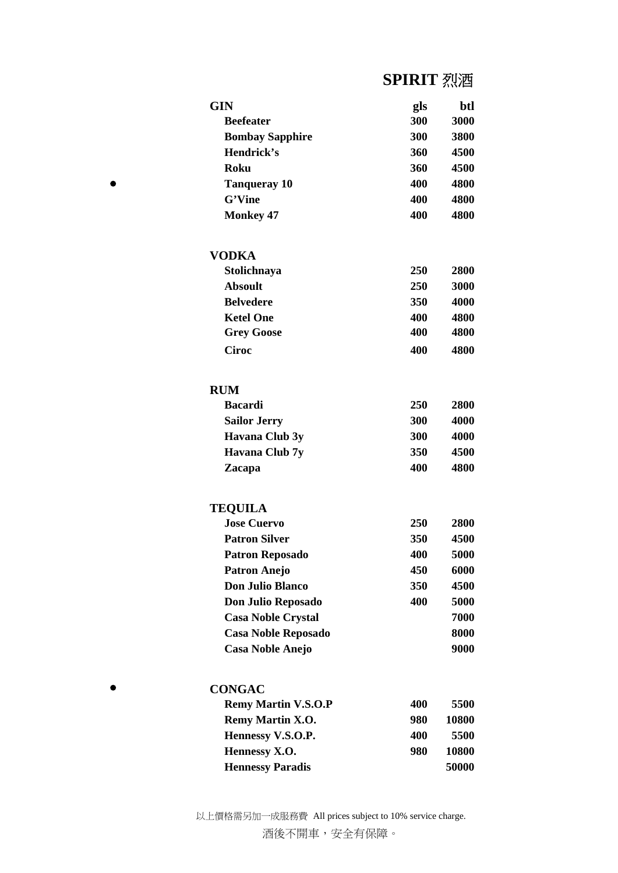# **SPIRIT** 烈酒

| <b>GIN</b>                 | gls | btl         |
|----------------------------|-----|-------------|
| <b>Beefeater</b>           | 300 | 3000        |
| <b>Bombay Sapphire</b>     | 300 | 3800        |
| Hendrick's                 | 360 | 4500        |
| Roku                       | 360 | 4500        |
| Tanqueray 10               | 400 | 4800        |
| G'Vine                     | 400 | 4800        |
| <b>Monkey 47</b>           | 400 | 4800        |
| VODKA                      |     |             |
| Stolichnaya                | 250 | 2800        |
| <b>Absoult</b>             | 250 | 3000        |
| <b>Belvedere</b>           | 350 | 4000        |
| <b>Ketel One</b>           | 400 | 4800        |
| <b>Grey Goose</b>          | 400 | 4800        |
| <b>Ciroc</b>               | 400 | 4800        |
| <b>RUM</b>                 |     |             |
| <b>Bacardi</b>             | 250 | <b>2800</b> |
| <b>Sailor Jerry</b>        | 300 | 4000        |
| Havana Club 3y             | 300 | 4000        |
| Havana Club 7y             | 350 | 4500        |
| Zacapa                     | 400 | 4800        |
| <b>TEQUILA</b>             |     |             |
| <b>Jose Cuervo</b>         | 250 | 2800        |
| <b>Patron Silver</b>       | 350 | 4500        |
| <b>Patron Reposado</b>     | 400 | 5000        |
| <b>Patron Anejo</b>        | 450 | 6000        |
| <b>Don Julio Blanco</b>    | 350 | 4500        |
| Don Julio Reposado         | 400 | 5000        |
| <b>Casa Noble Crystal</b>  |     | 7000        |
| <b>Casa Noble Reposado</b> |     | 8000        |
| <b>Casa Noble Anejo</b>    |     | 9000        |
| <b>CONGAC</b>              |     |             |
| <b>Remy Martin V.S.O.P</b> | 400 | 5500        |
| Remy Martin X.O.           | 980 | 10800       |
| Hennessy V.S.O.P.          | 400 | 5500        |
| Hennessy X.O.              | 980 | 10800       |
| <b>Hennessy Paradis</b>    |     | 50000       |

 $\bullet$ 

 $\bullet$ 

以上價格需另加一成服務費 All prices subject to 10% service charge. 酒後不開車,安全有保障。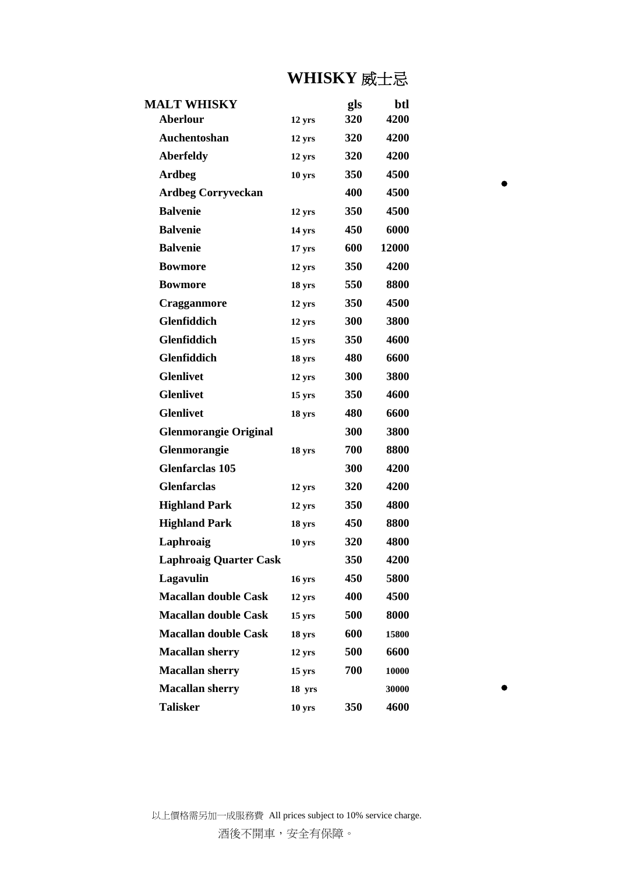# **WHISKY** 威士忌

| <b>MALT WHISKY</b>            |                     | gls        | btl   |
|-------------------------------|---------------------|------------|-------|
| <b>Aberlour</b>               | 12 yrs              | 320        | 4200  |
| Auchentoshan                  | 12 yrs              | <b>320</b> | 4200  |
| <b>Aberfeldy</b>              | 12 yrs              | 320        | 4200  |
| <b>Ardbeg</b>                 | 10 yrs              | <b>350</b> | 4500  |
| <b>Ardbeg Corryveckan</b>     |                     | 400        | 4500  |
| <b>Balvenie</b>               | 12 yrs              | 350        | 4500  |
| <b>Balvenie</b>               | 14 yrs              | 450        | 6000  |
| <b>Balvenie</b>               | 17 <sub>yrs</sub>   | 600        | 12000 |
| <b>Bowmore</b>                | 12 yrs              | <b>350</b> | 4200  |
| <b>Bowmore</b>                | 18 yrs              | 550        | 8800  |
| Cragganmore                   | 12 yrs              | <b>350</b> | 4500  |
| <b>Glenfiddich</b>            | 12 yrs              | 300        | 3800  |
| <b>Glenfiddich</b>            | $15 \text{ yrs}$    | <b>350</b> | 4600  |
| Glenfiddich                   | 18 yrs              | 480        | 6600  |
| <b>Glenlivet</b>              | 12 yrs              | 300        | 3800  |
| <b>Glenlivet</b>              | $15 \,\mathrm{yrs}$ | 350        | 4600  |
| <b>Glenlivet</b>              | 18 yrs              | 480        | 6600  |
| <b>Glenmorangie Original</b>  |                     | 300        | 3800  |
| Glenmorangie                  | 18 yrs              | 700        | 8800  |
| <b>Glenfarclas 105</b>        |                     | 300        | 4200  |
| <b>Glenfarclas</b>            | 12 yrs              | 320        | 4200  |
| <b>Highland Park</b>          | 12 yrs              | 350        | 4800  |
| <b>Highland Park</b>          | 18 yrs              | 450        | 8800  |
| Laphroaig                     | 10 yrs              | 320        | 4800  |
| <b>Laphroaig Quarter Cask</b> |                     | 350        | 4200  |
| Lagavulin                     | 16 yrs              | 450        | 5800  |
| <b>Macallan double Cask</b>   | $12 \text{ yrs}$    | 400        | 4500  |
| <b>Macallan double Cask</b>   | $15 \,\mathrm{yrs}$ | 500        | 8000  |
| <b>Macallan double Cask</b>   | 18 yrs              | 600        | 15800 |
| <b>Macallan sherry</b>        | 12 yrs              | 500        | 6600  |
| <b>Macallan sherry</b>        | $15 \text{ yrs}$    | 700        | 10000 |
| <b>Macallan sherry</b>        | 18 yrs              |            | 30000 |
| <b>Talisker</b>               | 10 <sub>yrs</sub>   | 350        | 4600  |

 $\bullet$ 

 $\bullet$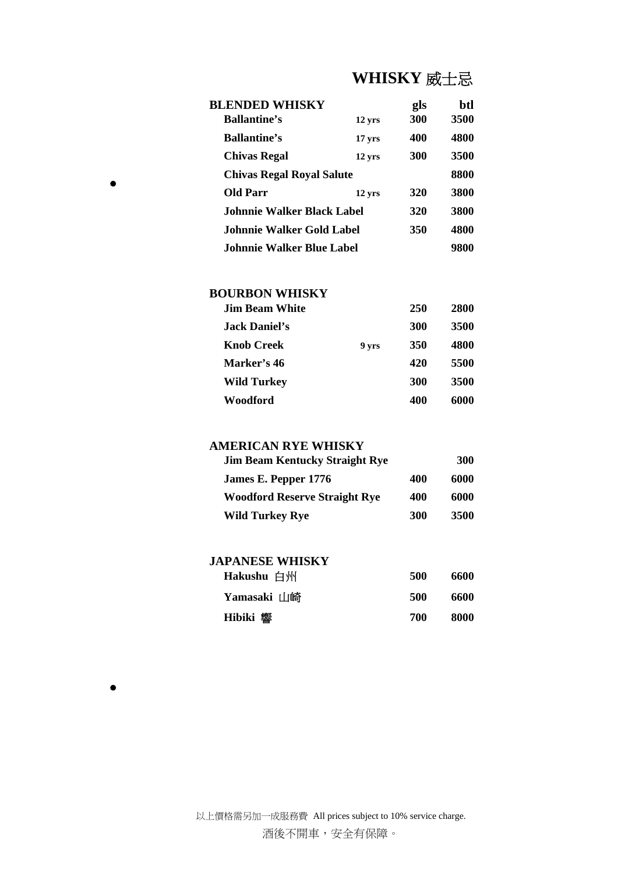# **WHISKY** 威士忌

| <b>BLENDED WHISKY</b>             |                  | gls        | btl  |
|-----------------------------------|------------------|------------|------|
| <b>Ballantine's</b>               | 12 yrs           | <b>300</b> | 3500 |
| <b>Ballantine's</b>               | $17 \text{ yrs}$ | 400        | 4800 |
| <b>Chivas Regal</b>               | 12 yrs           | <b>300</b> | 3500 |
| <b>Chivas Regal Royal Salute</b>  |                  |            | 8800 |
| <b>Old Parr</b>                   | 12 yrs           | 320        | 3800 |
| <b>Johnnie Walker Black Label</b> |                  | 320        | 3800 |
| Johnnie Walker Gold Label         |                  | 350        | 4800 |
| Johnnie Walker Blue Label         |                  |            | 9800 |

### **BOURBON WHISKY**

| <b>Jim Beam White</b> |       | 250        | 2800 |
|-----------------------|-------|------------|------|
| Jack Daniel's         |       | <b>300</b> | 3500 |
| <b>Knob Creek</b>     | 9 yrs | 350        | 4800 |
| Marker's 46           |       | 420        | 5500 |
| <b>Wild Turkey</b>    |       | <b>300</b> | 3500 |
| Woodford              |       | 400        | 6000 |

### **AMERICAN RYE WHISKY**

| <b>Jim Beam Kentucky Straight Rye</b> |            | 300  |
|---------------------------------------|------------|------|
| James E. Pepper 1776                  | 400        | 6000 |
| <b>Woodford Reserve Straight Rye</b>  | 400        | 6000 |
| Wild Turkey Rye                       | <b>300</b> | 3500 |

### **JAPANESE WHISKY**

| Hakushu 白州      | 500 | 6600 |
|-----------------|-----|------|
| Yamasaki 山崎     | 500 | 6600 |
| <b>Hibiki 響</b> | 700 | 8000 |

 $\bullet$ 

 $\bullet$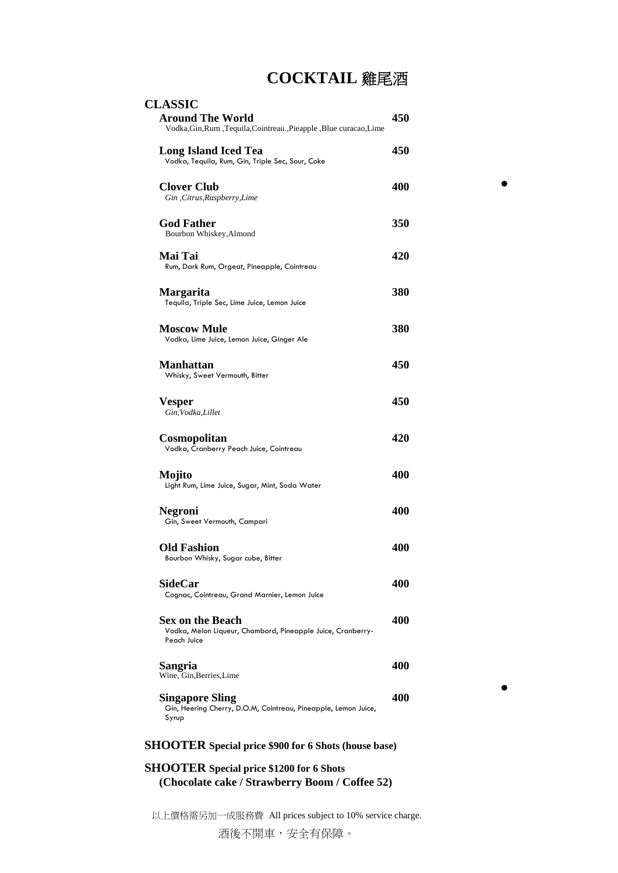## **COCKTAIL** 雞尾酒

| <b>CLASSIC</b>                                                                                        |     |
|-------------------------------------------------------------------------------------------------------|-----|
| <b>Around The World</b><br>Vodka, Gin, Rum, Tequila, Cointreau., Pieapple, Blue curacao, Lime         | 450 |
| <b>Long Island Iced Tea</b><br>Vodka, Tequila, Rum, Gin, Triple Sec, Sour, Coke                       | 450 |
| <b>Clover Club</b><br>Gin, Citrus, Raspberry, Lime                                                    | 400 |
| <b>God Father</b><br>Bourbon Whiskey, Almond                                                          | 350 |
| Mai Tai<br>Rum, Dark Rum, Orgeat, Pineapple, Cointreau                                                | 420 |
| <b>Margarita</b><br>Tequila, Triple Sec, Lime Juice, Lemon Juice                                      | 380 |
| <b>Moscow Mule</b><br>Vodka, Lime Juice, Lemon Juice, Ginger Ale                                      | 380 |
| <b>Manhattan</b><br>Whisky, Sweet Vermouth, Bitter                                                    | 450 |
| <b>Vesper</b><br>Gin, Vodka, Lillet                                                                   | 450 |
| Cosmopolitan<br>Vodka, Cranberry Peach Juice, Cointreau                                               | 420 |
| Mojito<br>Light Rum, Lime Juice, Sugar, Mint, Soda Water                                              | 400 |
| <b>Negroni</b><br>Gin, Sweet Vermouth, Campari                                                        | 400 |
| <b>Old Fashion</b><br>Bourbon Whisky, Sugar cube, Bitter                                              | 400 |
| <b>SideCar</b><br>Cognac, Cointreau, Grand Marnier, Lemon Juice                                       | 400 |
| <b>Sex on the Beach</b><br>Vodka, Melon Liqueur, Chambord, Pineapple Juice, Cranberry-<br>Peach Juice | 400 |
| Sangria<br>Wine, Gin, Berries, Lime                                                                   | 400 |
| <b>Singapore Sling</b><br>Gin, Heering Cherry, D.O.M, Cointreau, Pineapple, Lemon Juice,<br>Syrup     | 400 |

 $\bullet$ 

 $\bullet$ 

#### **SHOOTER Special price \$900 for 6 Shots (house base)**

## **SHOOTER Special price \$1200 for 6 Shots (Chocolate cake / Strawberry Boom / Coffee 52)**

以上價格需另加一成服務費 All prices subject to 10% service charge.